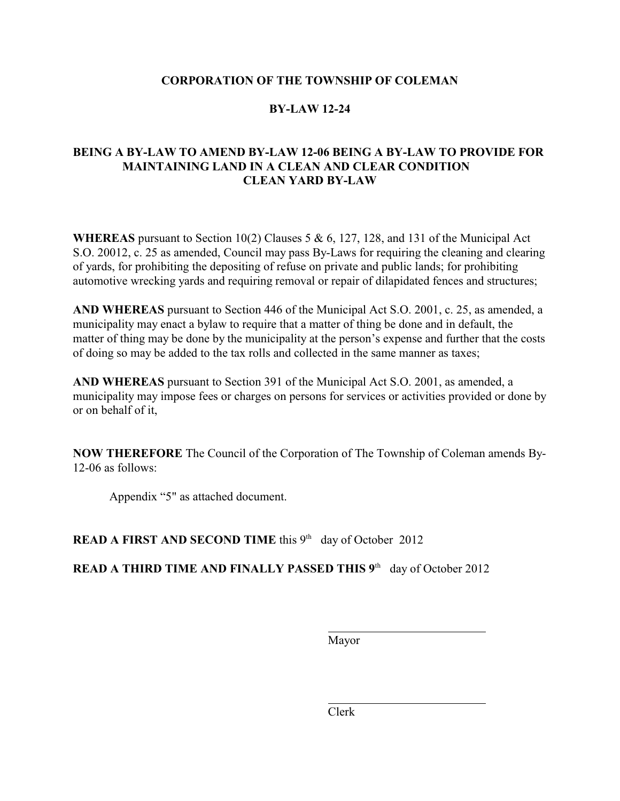#### **CORPORATION OF THE TOWNSHIP OF COLEMAN**

### **BY-LAW 12-24**

### **BEING A BY-LAW TO AMEND BY-LAW 12-06 BEING A BY-LAW TO PROVIDE FOR MAINTAINING LAND IN A CLEAN AND CLEAR CONDITION CLEAN YARD BY-LAW**

**WHEREAS** pursuant to Section 10(2) Clauses 5 & 6, 127, 128, and 131 of the Municipal Act S.O. 20012, c. 25 as amended, Council may pass By-Laws for requiring the cleaning and clearing of yards, for prohibiting the depositing of refuse on private and public lands; for prohibiting automotive wrecking yards and requiring removal or repair of dilapidated fences and structures;

**AND WHEREAS** pursuant to Section 446 of the Municipal Act S.O. 2001, c. 25, as amended, a municipality may enact a bylaw to require that a matter of thing be done and in default, the matter of thing may be done by the municipality at the person's expense and further that the costs of doing so may be added to the tax rolls and collected in the same manner as taxes;

**AND WHEREAS** pursuant to Section 391 of the Municipal Act S.O. 2001, as amended, a municipality may impose fees or charges on persons for services or activities provided or done by or on behalf of it,

**NOW THEREFORE** The Council of the Corporation of The Township of Coleman amends By-12-06 as follows:

Appendix "5" as attached document.

**READ A FIRST AND SECOND TIME** this 9<sup>th</sup> day of October 2012

**READ A THIRD TIME AND FINALLY PASSED THIS 9<sup>th</sup> day of October 2012** 

Mayor

 $\overline{a}$ 

 $\overline{a}$ 

Clerk